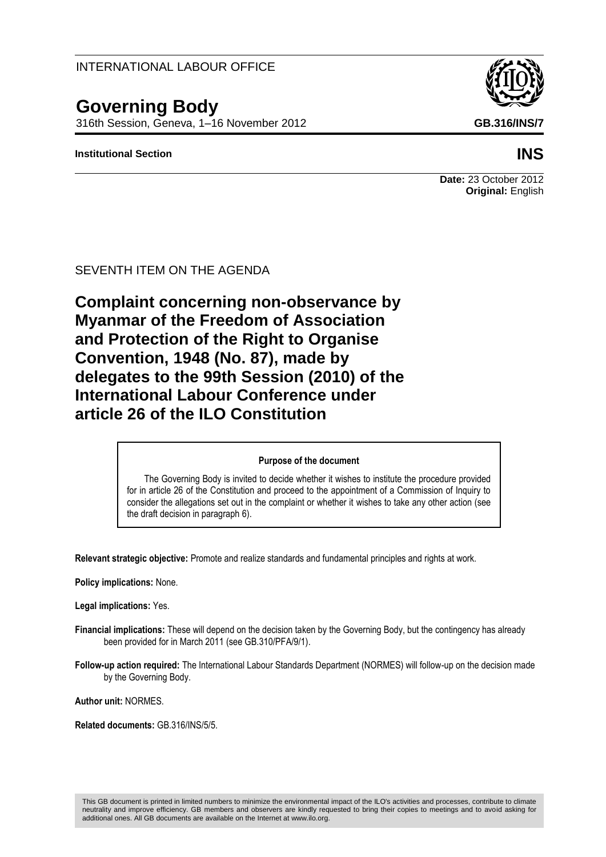## INTERNATIONAL LABOUR OFFICE

# **Governing Body**

316th Session, Geneva, 1–16 November 2012 **GB.316/INS/7**

#### **Institutional Section INS**

# **Date:** 23 October 2012 **Original:** English

SEVENTH ITEM ON THE AGENDA

**Complaint concerning non-observance by Myanmar of the Freedom of Association and Protection of the Right to Organise Convention, 1948 (No. 87), made by delegates to the 99th Session (2010) of the International Labour Conference under article 26 of the ILO Constitution**

#### **Purpose of the document**

The Governing Body is invited to decide whether it wishes to institute the procedure provided for in article 26 of the Constitution and proceed to the appointment of a Commission of Inquiry to consider the allegations set out in the complaint or whether it wishes to take any other action (see the draft decision in paragraph 6).

**Relevant strategic objective:** Promote and realize standards and fundamental principles and rights at work.

**Policy implications:** None.

**Legal implications:** Yes.

- **Financial implications:** These will depend on the decision taken by the Governing Body, but the contingency has already been provided for in March 2011 (see GB.310/PFA/9/1).
- **Follow-up action required:** The International Labour Standards Department (NORMES) will follow-up on the decision made by the Governing Body.

**Author unit:** NORMES.

**Related documents:** GB.316/INS/5/5.

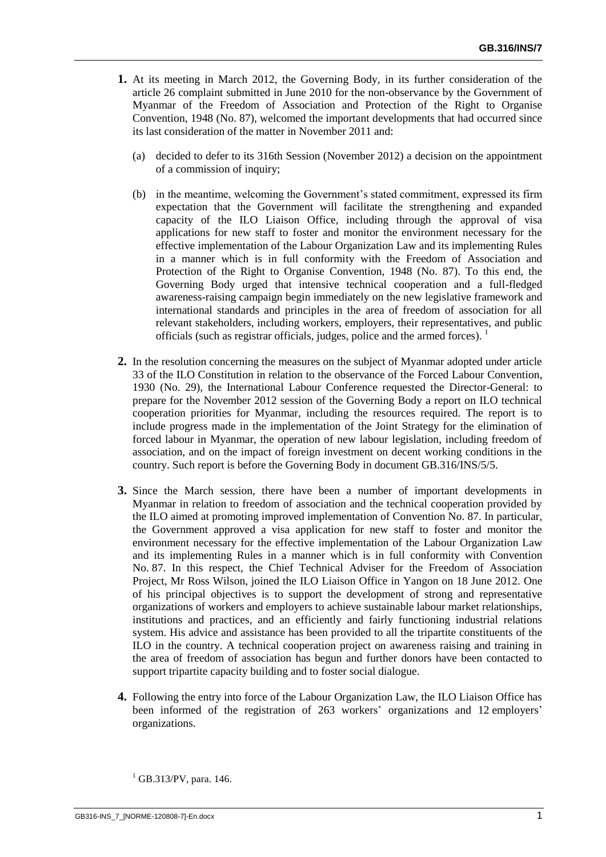- **1.** At its meeting in March 2012, the Governing Body, in its further consideration of the article 26 complaint submitted in June 2010 for the non-observance by the Government of Myanmar of the Freedom of Association and Protection of the Right to Organise Convention, 1948 (No. 87), welcomed the important developments that had occurred since its last consideration of the matter in November 2011 and:
	- (a) decided to defer to its 316th Session (November 2012) a decision on the appointment of a commission of inquiry;
	- (b) in the meantime, welcoming the Government's stated commitment, expressed its firm expectation that the Government will facilitate the strengthening and expanded capacity of the ILO Liaison Office, including through the approval of visa applications for new staff to foster and monitor the environment necessary for the effective implementation of the Labour Organization Law and its implementing Rules in a manner which is in full conformity with the Freedom of Association and Protection of the Right to Organise Convention, 1948 (No. 87). To this end, the Governing Body urged that intensive technical cooperation and a full-fledged awareness-raising campaign begin immediately on the new legislative framework and international standards and principles in the area of freedom of association for all relevant stakeholders, including workers, employers, their representatives, and public officials (such as registrar officials, judges, police and the armed forces).
- **2.** In the resolution concerning the measures on the subject of Myanmar adopted under article 33 of the ILO Constitution in relation to the observance of the Forced Labour Convention, 1930 (No. 29), the International Labour Conference requested the Director-General: to prepare for the November 2012 session of the Governing Body a report on ILO technical cooperation priorities for Myanmar, including the resources required. The report is to include progress made in the implementation of the Joint Strategy for the elimination of forced labour in Myanmar, the operation of new labour legislation, including freedom of association, and on the impact of foreign investment on decent working conditions in the country. Such report is before the Governing Body in document GB.316/INS/5/5.
- **3.** Since the March session, there have been a number of important developments in Myanmar in relation to freedom of association and the technical cooperation provided by the ILO aimed at promoting improved implementation of Convention No. 87. In particular, the Government approved a visa application for new staff to foster and monitor the environment necessary for the effective implementation of the Labour Organization Law and its implementing Rules in a manner which is in full conformity with Convention No. 87. In this respect, the Chief Technical Adviser for the Freedom of Association Project, Mr Ross Wilson, joined the ILO Liaison Office in Yangon on 18 June 2012. One of his principal objectives is to support the development of strong and representative organizations of workers and employers to achieve sustainable labour market relationships, institutions and practices, and an efficiently and fairly functioning industrial relations system. His advice and assistance has been provided to all the tripartite constituents of the ILO in the country. A technical cooperation project on awareness raising and training in the area of freedom of association has begun and further donors have been contacted to support tripartite capacity building and to foster social dialogue.
- **4.** Following the entry into force of the Labour Organization Law, the ILO Liaison Office has been informed of the registration of 263 workers' organizations and 12 employers' organizations.

 $1$  GB.313/PV, para. 146.